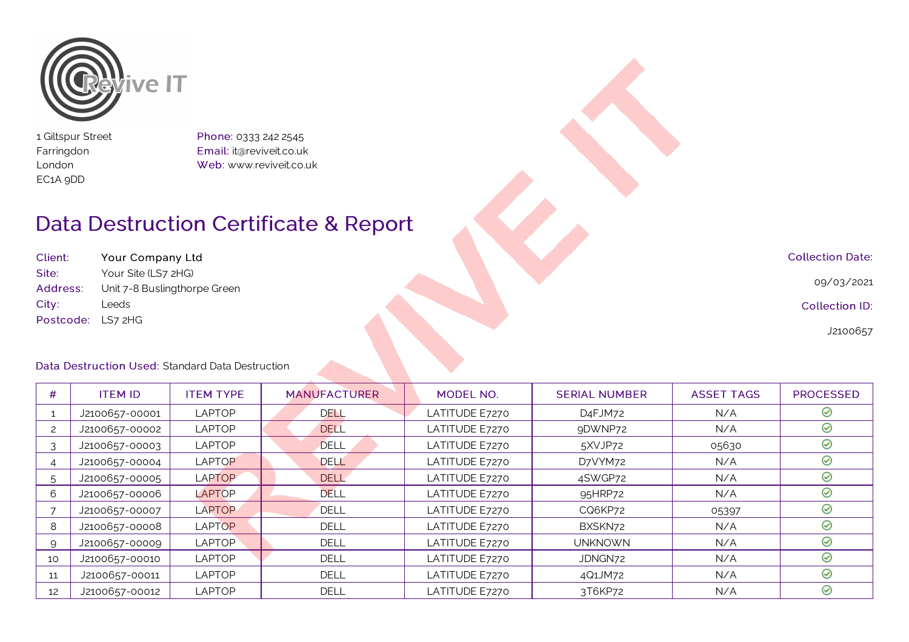

1 Giltspur Street Farringdon London EC1A 9DD

Phone: 0333 242 2545 Email: it@reviveit.co.uk Web: www.reviveit.co.uk

## Data Destruction Certificate & Report

Client: Your Company Ltd Site: Your Site (LS7 2HG) Address: Unit 7-8 Buslingthorpe Green City: Leeds Postcode: LS7 2HG

Collection Date:

09/03/2021

Collection ID:

J2100657

## Data Destruction Used: Standard Data Destruction

| #  | <b>ITEM ID</b> | <b>ITEM TYPE</b> | <b>MANUFACTURER</b> | MODEL NO.      | <b>SERIAL NUMBER</b> | <b>ASSET TAGS</b> | <b>PROCESSED</b> |
|----|----------------|------------------|---------------------|----------------|----------------------|-------------------|------------------|
|    | J2100657-00001 | <b>LAPTOP</b>    | DELL                | LATITUDE E7270 | D <sub>4</sub> FJM72 | N/A               | ⊘                |
|    | J2100657-00002 | <b>LAPTOP</b>    | <b>DELL</b>         | LATITUDE E7270 | 9DWNP72              | N/A               | ⊘                |
|    | J2100657-00003 | <b>LAPTOP</b>    | <b>DELL</b>         | LATITUDE E7270 | 5XVJP72              | 05630             | ⊘                |
|    | J2100657-00004 | <b>LAPTOP</b>    | <b>DELL</b>         | LATITUDE E7270 | D7VYM72              | N/A               | $\odot$          |
| 5  | J2100657-00005 | <b>LAPTOP</b>    | <b>DELL</b>         | LATITUDE E7270 | 4SWGP72              | N/A               | $\odot$          |
| 6  | J2100657-00006 | LAPTOP           | DELL                | LATITUDE E7270 | 95HRP72              | N/A               | ⊘                |
|    | J2100657-00007 | <b>LAPTOP</b>    | <b>DELL</b>         | LATITUDE E7270 | CQ6KP72              | 05397             | ⊘                |
| -8 | J2100657-00008 | <b>LAPTOP</b>    | <b>DELL</b>         | LATITUDE E7270 | BXSKN72              | N/A               | ⊘                |
| 9  | J2100657-00009 | <b>LAPTOP</b>    | <b>DELL</b>         | LATITUDE E7270 | <b>UNKNOWN</b>       | N/A               | ⊘                |
| 10 | J2100657-00010 | <b>LAPTOP</b>    | <b>DELL</b>         | LATITUDE E7270 | JDNGN72              | N/A               | ⊘                |
| 11 | J2100657-00011 | <b>LAPTOP</b>    | <b>DELL</b>         | LATITUDE E7270 | 4Q1JM72              | N/A               | ⊘                |
| 12 | J2100657-00012 | <b>LAPTOP</b>    | <b>DELL</b>         | LATITUDE E7270 | 3T6KP72              | N/A               | ⊘                |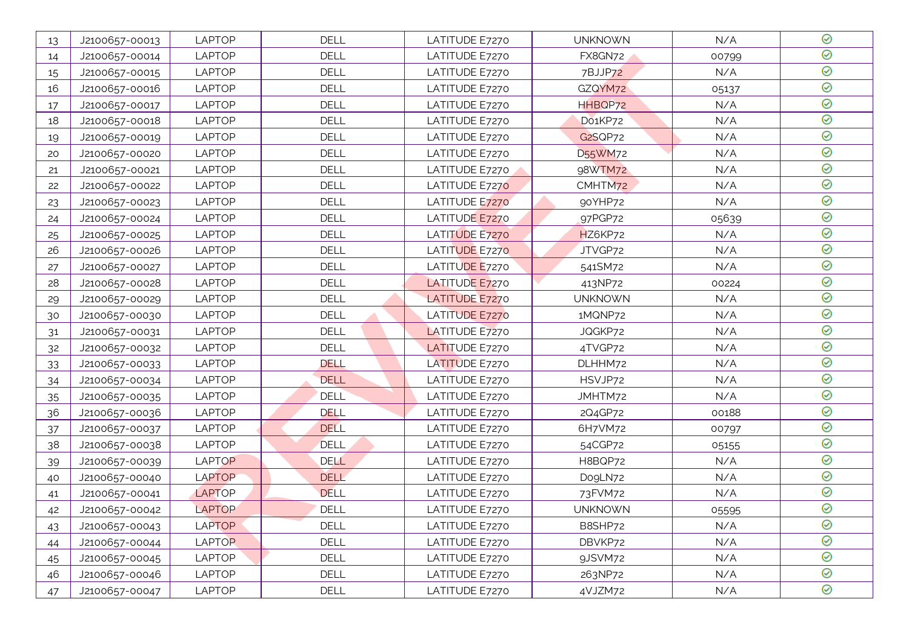| 13 | J2100657-00013 | <b>LAPTOP</b> | <b>DELL</b> | LATITUDE E7270 | <b>UNKNOWN</b>                   | N/A   | $\odot$ |
|----|----------------|---------------|-------------|----------------|----------------------------------|-------|---------|
| 14 | J2100657-00014 | <b>LAPTOP</b> | <b>DELL</b> | LATITUDE E7270 | FX8GN72                          | 00799 | $\odot$ |
| 15 | J2100657-00015 | <b>LAPTOP</b> | <b>DELL</b> | LATITUDE E7270 | 7BJJP72                          | N/A   | $\odot$ |
| 16 | J2100657-00016 | <b>LAPTOP</b> | <b>DELL</b> | LATITUDE E7270 | GZQYM72                          | 05137 | $\odot$ |
| 17 | J2100657-00017 | <b>LAPTOP</b> | <b>DELL</b> | LATITUDE E7270 | HHBQP72                          | N/A   | $\odot$ |
| 18 | J2100657-00018 | <b>LAPTOP</b> | DELL        | LATITUDE E7270 | Do1KP72                          | N/A   | $\odot$ |
| 19 | J2100657-00019 | <b>LAPTOP</b> | <b>DELL</b> | LATITUDE E7270 | G2SQP72                          | N/A   | $\odot$ |
| 20 | J2100657-00020 | <b>LAPTOP</b> | <b>DELL</b> | LATITUDE E7270 | D <sub>55</sub> WM <sub>72</sub> | N/A   | $\odot$ |
| 21 | J2100657-00021 | <b>LAPTOP</b> | <b>DELL</b> | LATITUDE E7270 | 98WTM72                          | N/A   | $\odot$ |
| 22 | J2100657-00022 | <b>LAPTOP</b> | DELL        | LATITUDE E7270 | CMHTM72                          | N/A   | $\odot$ |
| 23 | J2100657-00023 | <b>LAPTOP</b> | <b>DELL</b> | LATITUDE E7270 | 90YHP72                          | N/A   | $\odot$ |
| 24 | J2100657-00024 | <b>LAPTOP</b> | <b>DELL</b> | LATITUDE E7270 | 97PGP72                          | 05639 | $\odot$ |
| 25 | J2100657-00025 | <b>LAPTOP</b> | <b>DELL</b> | LATITUDE E7270 | HZ6KP72                          | N/A   | $\odot$ |
| 26 | J2100657-00026 | <b>LAPTOP</b> | DELL        | LATITUDE E7270 | JTVGP72                          | N/A   | $\odot$ |
| 27 | J2100657-00027 | <b>LAPTOP</b> | <b>DELL</b> | LATITUDE E7270 | 541SM72                          | N/A   | $\odot$ |
| 28 | J2100657-00028 | <b>LAPTOP</b> | <b>DELL</b> | LATITUDE E7270 | 413NP72                          | 00224 | $\odot$ |
| 29 | J2100657-00029 | <b>LAPTOP</b> | <b>DELL</b> | LATITUDE E7270 | <b>UNKNOWN</b>                   | N/A   | $\odot$ |
| 30 | J2100657-00030 | <b>LAPTOP</b> | <b>DELL</b> | LATITUDE E7270 | 1MQNP72                          | N/A   | $\odot$ |
| 31 | J2100657-00031 | <b>LAPTOP</b> | <b>DELL</b> | LATITUDE E7270 | JQGKP72                          | N/A   | $\odot$ |
| 32 | J2100657-00032 | <b>LAPTOP</b> | <b>DELL</b> | LATITUDE E7270 | 4TVGP72                          | N/A   | $\odot$ |
| 33 | J2100657-00033 | <b>LAPTOP</b> | DELL        | LATITUDE E7270 | DLHHM72                          | N/A   | $\odot$ |
| 34 | J2100657-00034 | <b>LAPTOP</b> | <b>DELL</b> | LATITUDE E7270 | HSVJP72                          | N/A   | $\odot$ |
| 35 | J2100657-00035 | <b>LAPTOP</b> | <b>DELL</b> | LATITUDE E7270 | JMHTM72                          | N/A   | $\odot$ |
| 36 | J2100657-00036 | <b>LAPTOP</b> | DELL        | LATITUDE E7270 | 2Q4GP72                          | 00188 | $\odot$ |
| 37 | J2100657-00037 | LAPTOP        | <b>DELL</b> | LATITUDE E7270 | 6H7VM72                          | 00797 | $\odot$ |
| 38 | J2100657-00038 | <b>LAPTOP</b> | <b>DELL</b> | LATITUDE E7270 | 54CGP72                          | 05155 | $\odot$ |
| 39 | J2100657-00039 | <b>LAPTOP</b> | <b>DELL</b> | LATITUDE E7270 | H8BQP72                          | N/A   | $\odot$ |
| 40 | J2100657-00040 | <b>LAPTOP</b> | <b>DELL</b> | LATITUDE E7270 | DogLN72                          | N/A   | $\odot$ |
| 41 | J2100657-00041 | <b>LAPTOP</b> | <b>DELL</b> | LATITUDE E7270 | 73FVM72                          | N/A   | $\odot$ |
| 42 | J2100657-00042 | <b>LAPTOP</b> | <b>DELL</b> | LATITUDE E7270 | <b>UNKNOWN</b>                   | 05595 | $\odot$ |
| 43 | J2100657-00043 | <b>LAPTOP</b> | DELL        | LATITUDE E7270 | B8SHP72                          | N/A   | ⊘       |
| 44 | J2100657-00044 | <b>LAPTOP</b> | DELL        | LATITUDE E7270 | DBVKP72                          | N/A   | ⊘       |
| 45 | J2100657-00045 | <b>LAPTOP</b> | <b>DELL</b> | LATITUDE E7270 | 9JSVM72                          | N/A   | $\odot$ |
| 46 | J2100657-00046 | <b>LAPTOP</b> | <b>DELL</b> | LATITUDE E7270 | 263NP72                          | N/A   | $\odot$ |
| 47 | J2100657-00047 | <b>LAPTOP</b> | DELL        | LATITUDE E7270 | 4VJZM72                          | N/A   | $\odot$ |